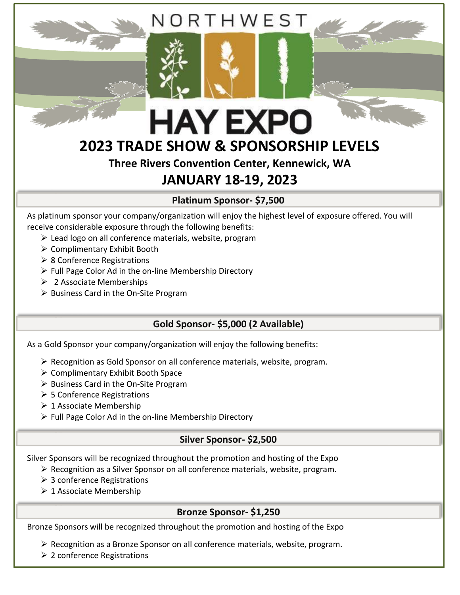

# **2023 TRADE SHOW & SPONSORSHIP LEVELS**

**HAY EXPO** 

### **Three Rivers Convention Center, Kennewick, WA**

## **JANUARY 18-19, 2023**

### **Platinum Sponsor- \$7,500**

As platinum sponsor your company/organization will enjoy the highest level of exposure offered. You will receive considerable exposure through the following benefits:

- $\geq$  Lead logo on all conference materials, website, program
- ➢ Complimentary Exhibit Booth
- ➢ 8 Conference Registrations
- ➢ Full Page Color Ad in the on-line Membership Directory
- $\geq 2$  Associate Memberships
- ➢ Business Card in the On-Site Program

### **Gold Sponsor- \$5,000 (2 Available)**

As a Gold Sponsor your company/organization will enjoy the following benefits:

- ➢ Recognition as Gold Sponsor on all conference materials, website, program.
- ➢ Complimentary Exhibit Booth Space
- ➢ Business Card in the On-Site Program
- ➢ 5 Conference Registrations
- $\geq 1$  Associate Membership
- ➢ Full Page Color Ad in the on-line Membership Directory

#### **Silver Sponsor- \$2,500**

Silver Sponsors will be recognized throughout the promotion and hosting of the Expo

- $\triangleright$  Recognition as a Silver Sponsor on all conference materials, website, program.
- ➢ 3 conference Registrations
- $\geq 1$  Associate Membership

### **Bronze Sponsor- \$1,250**

Bronze Sponsors will be recognized throughout the promotion and hosting of the Expo

- ➢ Recognition as a Bronze Sponsor on all conference materials, website, program.
- ➢ 2 conference Registrations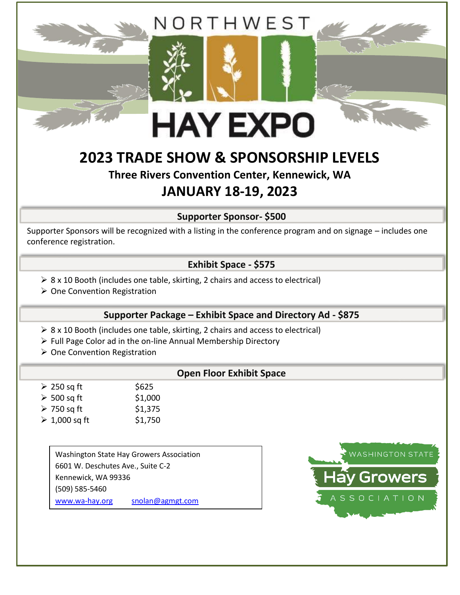NORTHWEST



# **2023 TRADE SHOW & SPONSORSHIP LEVELS**

## **Three Rivers Convention Center, Kennewick, WA**

## **JANUARY 18-19, 2023**

**Supporter Sponsor- \$500**

Supporter Sponsors will be recognized with a listing in the conference program and on signage – includes one conference registration.

### **Exhibit Space - \$575**

- $\geq 8$  x 10 Booth (includes one table, skirting, 2 chairs and access to electrical)
- ➢ One Convention Registration

### **Supporter Package – Exhibit Space and Directory Ad - \$875**

- $\geq 8$  x 10 Booth (includes one table, skirting, 2 chairs and access to electrical)
- ➢ Full Page Color ad in the on-line Annual Membership Directory
- ➢ One Convention Registration

#### **Open Floor Exhibit Space**

- $\geq 250$  sq ft \$625
- $>$  500 sq ft \$1,000
- $> 750$  sq ft \$1,375
- $\geq 1,000$  sq ft \$1,750

Washington State Hay Growers Association 6601 W. Deschutes Ave., Suite C-2 Kennewick, WA 99336 (509) 585-5460 [www.wa-hay.org](http://www.wa-hay.org/) [snolan@agmgt.com](mailto:snolan@agmgt.com)